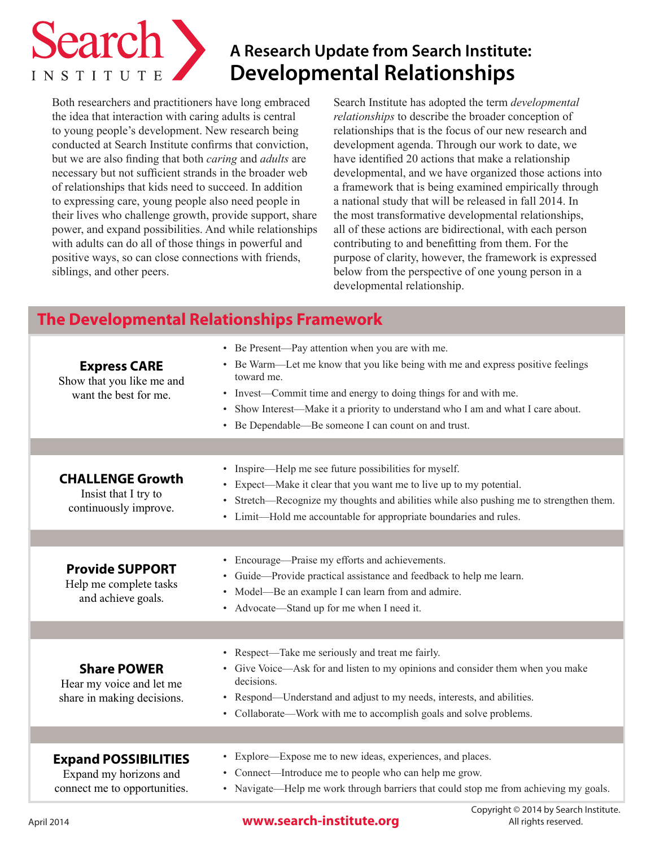

# **A Research Update from Search Institute: Developmental Relationships**

Both researchers and practitioners have long embraced the idea that interaction with caring adults is central to young people's development. New research being conducted at Search Institute confirms that conviction, but we are also finding that both *caring* and *adults* are necessary but not sufficient strands in the broader web of relationships that kids need to succeed. In addition to expressing care, young people also need people in their lives who challenge growth, provide support, share power, and expand possibilities. And while relationships with adults can do all of those things in powerful and positive ways, so can close connections with friends, siblings, and other peers.

Search Institute has adopted the term *developmental relationships* to describe the broader conception of relationships that is the focus of our new research and development agenda. Through our work to date, we have identified 20 actions that make a relationship developmental, and we have organized those actions into a framework that is being examined empirically through a national study that will be released in fall 2014. In the most transformative developmental relationships, all of these actions are bidirectional, with each person contributing to and benefitting from them. For the purpose of clarity, however, the framework is expressed below from the perspective of one young person in a developmental relationship.

# **The Developmental Relationships Framework**

| <b>Express CARE</b><br>Show that you like me and<br>want the best for me.             | • Be Present—Pay attention when you are with me.<br>• Be Warm—Let me know that you like being with me and express positive feelings<br>toward me.<br>• Invest—Commit time and energy to doing things for and with me.<br>• Show Interest—Make it a priority to understand who I am and what I care about.<br>• Be Dependable—Be someone I can count on and trust. |
|---------------------------------------------------------------------------------------|-------------------------------------------------------------------------------------------------------------------------------------------------------------------------------------------------------------------------------------------------------------------------------------------------------------------------------------------------------------------|
|                                                                                       |                                                                                                                                                                                                                                                                                                                                                                   |
| <b>CHALLENGE Growth</b><br>Insist that I try to<br>continuously improve.              | Inspire—Help me see future possibilities for myself.<br>$\bullet$<br>• Expect—Make it clear that you want me to live up to my potential.<br>Stretch—Recognize my thoughts and abilities while also pushing me to strengthen them.<br>$\bullet$<br>• Limit—Hold me accountable for appropriate boundaries and rules.                                               |
|                                                                                       |                                                                                                                                                                                                                                                                                                                                                                   |
| <b>Provide SUPPORT</b><br>Help me complete tasks<br>and achieve goals.                | • Encourage—Praise my efforts and achievements.<br>Guide-Provide practical assistance and feedback to help me learn.<br>• Model—Be an example I can learn from and admire.<br>• Advocate—Stand up for me when I need it.                                                                                                                                          |
|                                                                                       |                                                                                                                                                                                                                                                                                                                                                                   |
| <b>Share POWER</b><br>Hear my voice and let me<br>share in making decisions.          | • Respect—Take me seriously and treat me fairly.<br>• Give Voice—Ask for and listen to my opinions and consider them when you make<br>decisions.<br>• Respond—Understand and adjust to my needs, interests, and abilities.<br>• Collaborate—Work with me to accomplish goals and solve problems.                                                                  |
|                                                                                       |                                                                                                                                                                                                                                                                                                                                                                   |
| <b>Expand POSSIBILITIES</b><br>Expand my horizons and<br>connect me to opportunities. | • Explore—Expose me to new ideas, experiences, and places.<br>• Connect—Introduce me to people who can help me grow.<br>• Navigate—Help me work through barriers that could stop me from achieving my goals.                                                                                                                                                      |
|                                                                                       |                                                                                                                                                                                                                                                                                                                                                                   |